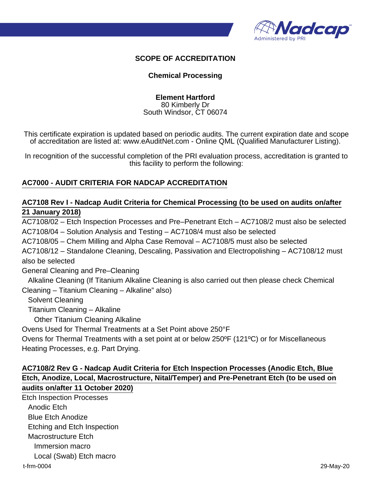

#### **SCOPE OF ACCREDITATION**

#### **Chemical Processing**

**Element Hartford** 80 Kimberly Dr South Windsor, CT 06074

This certificate expiration is updated based on periodic audits. The current expiration date and scope of accreditation are listed at: www.eAuditNet.com - Online QML (Qualified Manufacturer Listing).

In recognition of the successful completion of the PRI evaluation process, accreditation is granted to this facility to perform the following:

### **AC7000 - AUDIT CRITERIA FOR NADCAP ACCREDITATION**

### **AC7108 Rev I - Nadcap Audit Criteria for Chemical Processing (to be used on audits on/after 21 January 2018)**

AC7108/02 – Etch Inspection Processes and Pre–Penetrant Etch – AC7108/2 must also be selected AC7108/04 – Solution Analysis and Testing – AC7108/4 must also be selected AC7108/05 – Chem Milling and Alpha Case Removal – AC7108/5 must also be selected AC7108/12 – Standalone Cleaning, Descaling, Passivation and Electropolishing – AC7108/12 must also be selected General Cleaning and Pre–Cleaning Alkaline Cleaning (If Titanium Alkaline Cleaning is also carried out then please check Chemical Cleaning – Titanium Cleaning – Alkaline" also) Solvent Cleaning Titanium Cleaning – Alkaline Other Titanium Cleaning Alkaline Ovens Used for Thermal Treatments at a Set Point above 250°F Ovens for Thermal Treatments with a set point at or below 250ºF (121ºC) or for Miscellaneous Heating Processes, e.g. Part Drying.

## **AC7108/2 Rev G - Nadcap Audit Criteria for Etch Inspection Processes (Anodic Etch, Blue Etch, Anodize, Local, Macrostructure, Nital/Temper) and Pre-Penetrant Etch (to be used on audits on/after 11 October 2020)**

Etch Inspection Processes Anodic Etch Blue Etch Anodize Etching and Etch Inspection Macrostructure Etch Immersion macro Local (Swab) Etch macro t-frm-0004 29-May-20